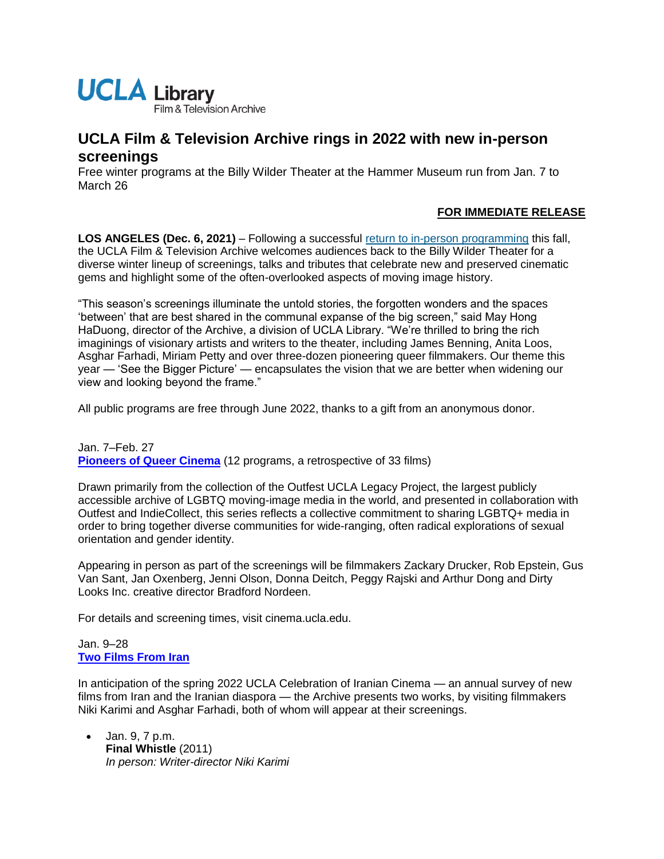

# **UCLA Film & Television Archive rings in 2022 with new in-person screenings**

Free winter programs at the Billy Wilder Theater at the Hammer Museum run from Jan. 7 to March 26

# **FOR IMMEDIATE RELEASE**

LOS ANGELES (Dec. 6, 2021) – Following a successful [return to in-person programming](https://newsroom.ucla.edu/releases/film-archive-fall-2021-in-person-screenings) this fall, the UCLA Film & Television Archive welcomes audiences back to the Billy Wilder Theater for a diverse winter lineup of screenings, talks and tributes that celebrate new and preserved cinematic gems and highlight some of the often-overlooked aspects of moving image history.

"This season's screenings illuminate the untold stories, the forgotten wonders and the spaces 'between' that are best shared in the communal expanse of the big screen," said May Hong HaDuong, director of the Archive, a division of UCLA Library. "We're thrilled to bring the rich imaginings of visionary artists and writers to the theater, including James Benning, Anita Loos, Asghar Farhadi, Miriam Petty and over three-dozen pioneering queer filmmakers. Our theme this year — 'See the Bigger Picture' — encapsulates the vision that we are better when widening our view and looking beyond the frame."

All public programs are free through June 2022, thanks to a gift from an anonymous donor.

Jan. 7–Feb. 27 **[Pioneers of Queer Cinema](https://www.cinema.ucla.edu/events/2022/pioneers-of-queer-cinema)** (12 programs, a retrospective of 33 films)

Drawn primarily from the collection of the Outfest UCLA Legacy Project, the largest publicly accessible archive of LGBTQ moving-image media in the world, and presented in collaboration with Outfest and IndieCollect, this series reflects a collective commitment to sharing LGBTQ+ media in order to bring together diverse communities for wide-ranging, often radical explorations of sexual orientation and gender identity.

Appearing in person as part of the screenings will be filmmakers Zackary Drucker, Rob Epstein, Gus Van Sant, Jan Oxenberg, Jenni Olson, Donna Deitch, Peggy Rajski and Arthur Dong and Dirty Looks Inc. creative director Bradford Nordeen.

For details and screening times, visit cinema.ucla.edu.

## Jan. 9–28 **[Two Films From Iran](https://www.cinema.ucla.edu/events/2022/two-from-iran)**

In anticipation of the spring 2022 UCLA Celebration of Iranian Cinema — an annual survey of new films from Iran and the Iranian diaspora — the Archive presents two works, by visiting filmmakers Niki Karimi and Asghar Farhadi, both of whom will appear at their screenings.

• Jan. 9, 7 p.m. **Final Whistle** (2011) *In person: Writer-director Niki Karimi*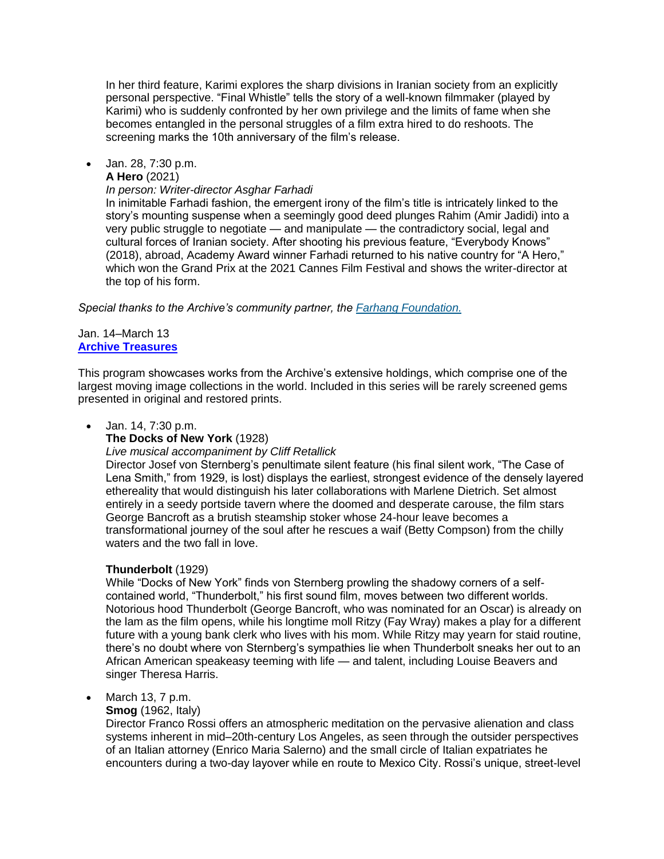In her third feature, Karimi explores the sharp divisions in Iranian society from an explicitly personal perspective. "Final Whistle" tells the story of a well-known filmmaker (played by Karimi) who is suddenly confronted by her own privilege and the limits of fame when she becomes entangled in the personal struggles of a film extra hired to do reshoots. The screening marks the 10th anniversary of the film's release.

• Jan. 28, 7:30 p.m.

**A Hero** (2021)

#### *In person: Writer-director Asghar Farhadi*

In inimitable Farhadi fashion, the emergent irony of the film's title is intricately linked to the story's mounting suspense when a seemingly good deed plunges Rahim (Amir Jadidi) into a very public struggle to negotiate — and manipulate — the contradictory social, legal and cultural forces of Iranian society. After shooting his previous feature, "Everybody Knows" (2018), abroad, Academy Award winner Farhadi returned to his native country for "A Hero," which won the Grand Prix at the 2021 Cannes Film Festival and shows the writer-director at the top of his form.

*Special thanks to the Archive's community partner, the [Farhang Foundation.](https://farhang.org/)*

#### Jan. 14–March 13 **[Archive Treasures](https://www.cinema.ucla.edu/events/archive-treasures)**

This program showcases works from the Archive's extensive holdings, which comprise one of the largest moving image collections in the world. Included in this series will be rarely screened gems presented in original and restored prints.

### • Jan. 14, 7:30 p.m.

### **The Docks of New York** (1928)

#### *Live musical accompaniment by Cliff Retallick*

Director Josef von Sternberg's penultimate silent feature (his final silent work, "The Case of Lena Smith," from 1929, is lost) displays the earliest, strongest evidence of the densely layered ethereality that would distinguish his later collaborations with Marlene Dietrich. Set almost entirely in a seedy portside tavern where the doomed and desperate carouse, the film stars George Bancroft as a brutish steamship stoker whose 24-hour leave becomes a transformational journey of the soul after he rescues a waif (Betty Compson) from the chilly waters and the two fall in love.

### **Thunderbolt** (1929)

While "Docks of New York" finds von Sternberg prowling the shadowy corners of a selfcontained world, "Thunderbolt," his first sound film, moves between two different worlds. Notorious hood Thunderbolt (George Bancroft, who was nominated for an Oscar) is already on the lam as the film opens, while his longtime moll Ritzy (Fay Wray) makes a play for a different future with a young bank clerk who lives with his mom. While Ritzy may yearn for staid routine, there's no doubt where von Sternberg's sympathies lie when Thunderbolt sneaks her out to an African American speakeasy teeming with life — and talent, including Louise Beavers and singer Theresa Harris.

# • March 13, 7 p.m.

**Smog** (1962, Italy)

Director Franco Rossi offers an atmospheric meditation on the pervasive alienation and class systems inherent in mid–20th-century Los Angeles, as seen through the outsider perspectives of an Italian attorney (Enrico Maria Salerno) and the small circle of Italian expatriates he encounters during a two-day layover while en route to Mexico City. Rossi's unique, street-level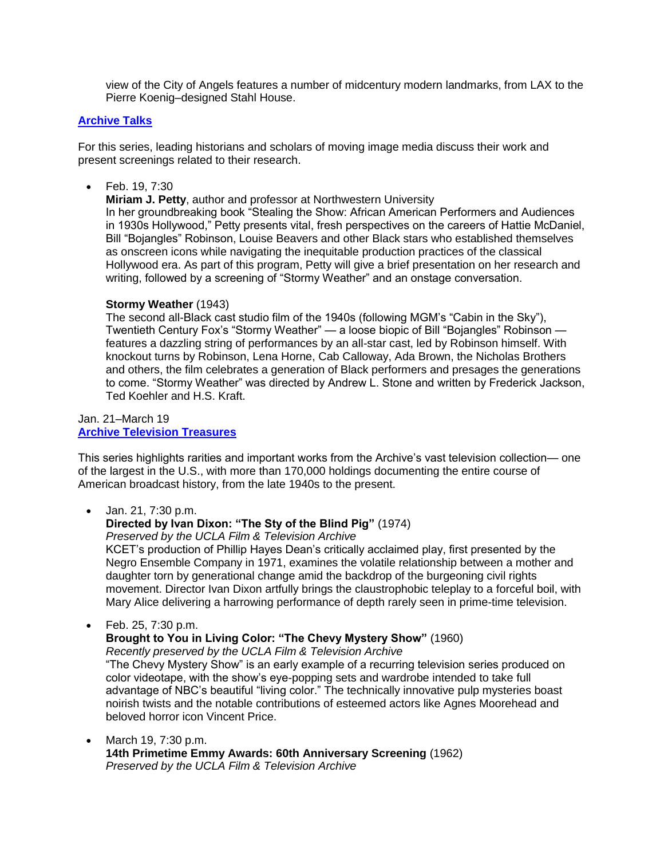view of the City of Angels features a number of midcentury modern landmarks, from LAX to the Pierre Koenig–designed Stahl House.

### **[Archive Talks](https://www.cinema.ucla.edu/events/archive-talks)**

For this series, leading historians and scholars of moving image media discuss their work and present screenings related to their research.

• Feb. 19, 7:30

**Miriam J. Petty**, author and professor at Northwestern University In her groundbreaking book "Stealing the Show: African American Performers and Audiences in 1930s Hollywood," Petty presents vital, fresh perspectives on the careers of Hattie McDaniel, Bill "Bojangles" Robinson, Louise Beavers and other Black stars who established themselves as onscreen icons while navigating the inequitable production practices of the classical Hollywood era. As part of this program, Petty will give a brief presentation on her research and writing, followed by a screening of "Stormy Weather" and an onstage conversation.

### **Stormy Weather** (1943)

The second all-Black cast studio film of the 1940s (following MGM's "Cabin in the Sky"), Twentieth Century Fox's "Stormy Weather" — a loose biopic of Bill "Bojangles" Robinson features a dazzling string of performances by an all-star cast, led by Robinson himself. With knockout turns by Robinson, Lena Horne, Cab Calloway, Ada Brown, the Nicholas Brothers and others, the film celebrates a generation of Black performers and presages the generations to come. "Stormy Weather" was directed by Andrew L. Stone and written by Frederick Jackson, Ted Koehler and H.S. Kraft.

### Jan. 21–March 19 **[Archive Television Treasures](https://www.cinema.ucla.edu/events/archive-television-treasures-series)**

This series highlights rarities and important works from the Archive's vast television collection— one of the largest in the U.S., with more than 170,000 holdings documenting the entire course of American broadcast history, from the late 1940s to the present.

• Jan. 21, 7:30 p.m.

# **Directed by Ivan Dixon: "The Sty of the Blind Pig"** (1974)

*Preserved by the UCLA Film & Television Archive*

KCET's production of Phillip Hayes Dean's critically acclaimed play, first presented by the Negro Ensemble Company in 1971, examines the volatile relationship between a mother and daughter torn by generational change amid the backdrop of the burgeoning civil rights movement. Director Ivan Dixon artfully brings the claustrophobic teleplay to a forceful boil, with Mary Alice delivering a harrowing performance of depth rarely seen in prime-time television.

• Feb. 25, 7:30 p.m.

# **Brought to You in Living Color: "The Chevy Mystery Show"** (1960)

*Recently preserved by the UCLA Film & Television Archive*

"The Chevy Mystery Show" is an early example of a recurring television series produced on color videotape, with the show's eye-popping sets and wardrobe intended to take full advantage of NBC's beautiful "living color." The technically innovative pulp mysteries boast noirish twists and the notable contributions of esteemed actors like Agnes Moorehead and beloved horror icon Vincent Price.

• March 19, 7:30 p.m. **14th Primetime Emmy Awards: 60th Anniversary Screening** (1962) *Preserved by the UCLA Film & Television Archive*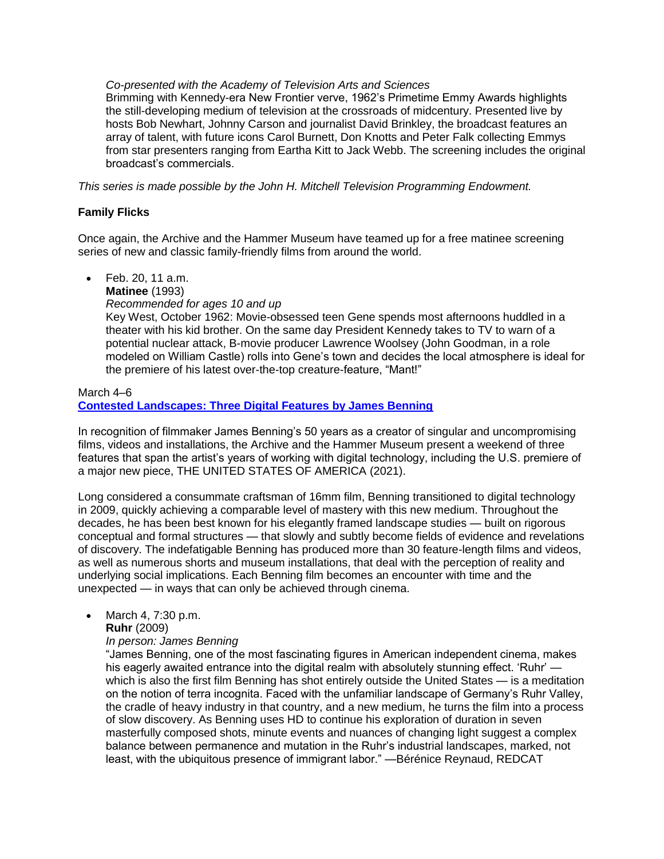#### *Co-presented with the Academy of Television Arts and Sciences*

Brimming with Kennedy-era New Frontier verve, 1962's Primetime Emmy Awards highlights the still-developing medium of television at the crossroads of midcentury. Presented live by hosts Bob Newhart, Johnny Carson and journalist David Brinkley, the broadcast features an array of talent, with future icons Carol Burnett, Don Knotts and Peter Falk collecting Emmys from star presenters ranging from Eartha Kitt to Jack Webb. The screening includes the original broadcast's commercials.

*This series is made possible by the John H. Mitchell Television Programming Endowment.*

### **Family Flicks**

Once again, the Archive and the Hammer Museum have teamed up for a free matinee screening series of new and classic family-friendly films from around the world.

• Feb. 20, 11 a.m.

**Matinee** (1993)

*Recommended for ages 10 and up* Key West, October 1962: Movie-obsessed teen Gene spends most afternoons huddled in a theater with his kid brother. On the same day President Kennedy takes to TV to warn of a potential nuclear attack, B-movie producer Lawrence Woolsey (John Goodman, in a role modeled on William Castle) rolls into Gene's town and decides the local atmosphere is ideal for the premiere of his latest over-the-top creature-feature, "Mant!"

March 4–6 **[Contested Landscapes: Three Digital Features by James Benning](https://www.cinema.ucla.edu/events/2022/contested-landscapes-james-benning)**

In recognition of filmmaker James Benning's 50 years as a creator of singular and uncompromising films, videos and installations, the Archive and the Hammer Museum present a weekend of three features that span the artist's years of working with digital technology, including the U.S. premiere of a major new piece, THE UNITED STATES OF AMERICA (2021).

Long considered a consummate craftsman of 16mm film, Benning transitioned to digital technology in 2009, quickly achieving a comparable level of mastery with this new medium. Throughout the decades, he has been best known for his elegantly framed landscape studies — built on rigorous conceptual and formal structures — that slowly and subtly become fields of evidence and revelations of discovery. The indefatigable Benning has produced more than 30 feature-length films and videos, as well as numerous shorts and museum installations, that deal with the perception of reality and underlying social implications. Each Benning film becomes an encounter with time and the unexpected — in ways that can only be achieved through cinema.

• March 4, 7:30 p.m. **Ruhr** (2009)

*In person: James Benning*

"James Benning, one of the most fascinating figures in American independent cinema, makes his eagerly awaited entrance into the digital realm with absolutely stunning effect. 'Ruhr' which is also the first film Benning has shot entirely outside the United States — is a meditation on the notion of terra incognita. Faced with the unfamiliar landscape of Germany's Ruhr Valley, the cradle of heavy industry in that country, and a new medium, he turns the film into a process of slow discovery. As Benning uses HD to continue his exploration of duration in seven masterfully composed shots, minute events and nuances of changing light suggest a complex balance between permanence and mutation in the Ruhr's industrial landscapes, marked, not least, with the ubiquitous presence of immigrant labor." —Bérénice Reynaud, REDCAT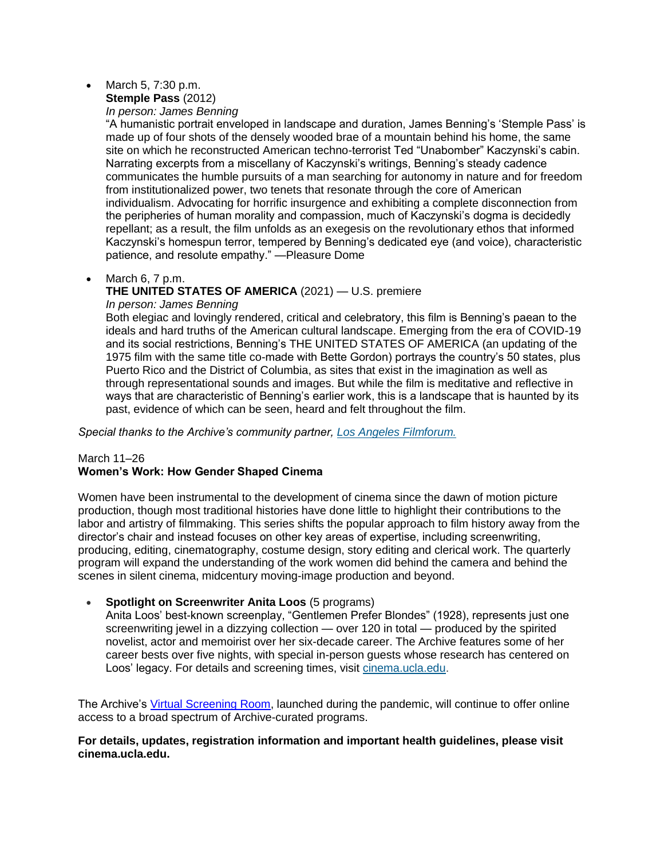#### • March 5, 7:30 p.m. **Stemple Pass** (2012)

*In person: James Benning*

"A humanistic portrait enveloped in landscape and duration, James Benning's 'Stemple Pass' is made up of four shots of the densely wooded brae of a mountain behind his home, the same site on which he reconstructed American techno-terrorist Ted "Unabomber" Kaczynski's cabin. Narrating excerpts from a miscellany of Kaczynski's writings, Benning's steady cadence communicates the humble pursuits of a man searching for autonomy in nature and for freedom from institutionalized power, two tenets that resonate through the core of American individualism. Advocating for horrific insurgence and exhibiting a complete disconnection from the peripheries of human morality and compassion, much of Kaczynski's dogma is decidedly repellant; as a result, the film unfolds as an exegesis on the revolutionary ethos that informed Kaczynski's homespun terror, tempered by Benning's dedicated eye (and voice), characteristic patience, and resolute empathy." —Pleasure Dome

## • March 6, 7 p.m.

# **THE UNITED STATES OF AMERICA** (2021) — U.S. premiere

*In person: James Benning*

Both elegiac and lovingly rendered, critical and celebratory, this film is Benning's paean to the ideals and hard truths of the American cultural landscape. Emerging from the era of COVID-19 and its social restrictions, Benning's THE UNITED STATES OF AMERICA (an updating of the 1975 film with the same title co-made with Bette Gordon) portrays the country's 50 states, plus Puerto Rico and the District of Columbia, as sites that exist in the imagination as well as through representational sounds and images. But while the film is meditative and reflective in ways that are characteristic of Benning's earlier work, this is a landscape that is haunted by its past, evidence of which can be seen, heard and felt throughout the film.

*Special thanks to the Archive's community partner, [Los Angeles Filmforum.](https://www.lafilmforum.org/)*

## March 11–26 **Women's Work: How Gender Shaped Cinema**

Women have been instrumental to the development of cinema since the dawn of motion picture production, though most traditional histories have done little to highlight their contributions to the labor and artistry of filmmaking. This series shifts the popular approach to film history away from the director's chair and instead focuses on other key areas of expertise, including screenwriting, producing, editing, cinematography, costume design, story editing and clerical work. The quarterly program will expand the understanding of the work women did behind the camera and behind the scenes in silent cinema, midcentury moving-image production and beyond.

### • **Spotlight on Screenwriter Anita Loos** (5 programs)

Anita Loos' best-known screenplay, "Gentlemen Prefer Blondes" (1928), represents just one screenwriting jewel in a dizzying collection — over 120 in total — produced by the spirited novelist, actor and memoirist over her six-decade career. The Archive features some of her career bests over five nights, with special in-person guests whose research has centered on Loos' legacy. For details and screening times, visit [cinema.ucla.edu.](https://www.cinema.ucla.edu/)

The Archive's [Virtual Screening Room,](https://www.cinema.ucla.edu/events/2020/virtual-screening-room) launched during the pandemic, will continue to offer online access to a broad spectrum of Archive-curated programs.

### **For details, updates, registration information and important health guidelines, please visit cinema.ucla.edu.**